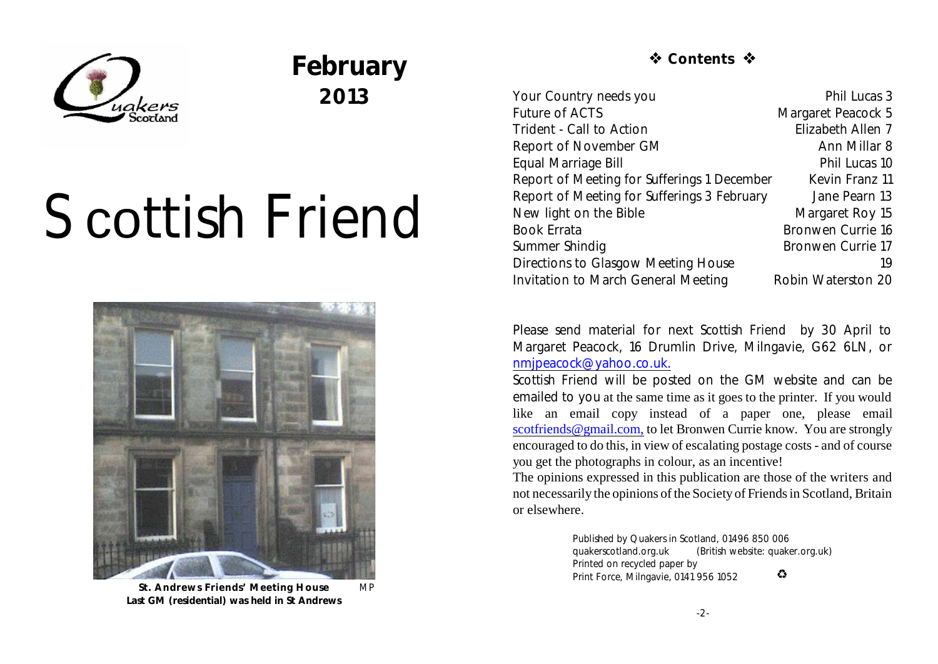

## **February 2013**

# Scottish Friend



**St. Andrews Friends' Meeting House** MP **Last GM (residential) was held in St Andrews**

### *T* Contents ☆

Your Country needs you **Phil Lucas** 3 Future of ACTS Margaret Peacock 5 Trident - Call to Action **Elizabeth Allen 7** Report of November GM Ann Millar 8 Equal Marriage Bill **Phil Lucas** 10 Report of Meeting for Sufferings 1 December Kevin Franz 11 Report of Meeting for Sufferings 3 February Jane Pearn 13 New light on the Bible Margaret Roy 15 Book Errata Bronwen Currie 16 Summer Shindig Bronwen Currie 17 Directions to Glasgow Meeting House 19 Invitation to March General Meeting Robin Waterston 20

Please send material for next *Scottish Friend* by 30 April to Margaret Peacock, 16 Drumlin Drive, Milngavie, G62 6LN, or [nmjpeacock@yahoo.co.uk.](mailto:nmjpeacock@yahoo.co.uk.)

*Scottish Friend* will be posted on the GM website and can be emailed to you at the same time as it goes to the printer. If you would like an email copy instead of a paper one, please email [scotfriends@gmail.com,](mailto:scotfriends@aol.com,) to let Bronwen Currie know. You are strongly encouraged to do this, in view of escalating postage costs - and of course you get the photographs in colour, as an incentive!

The opinions expressed in this publication are those of the writers and not necessarily the opinions of the Society of Friends in Scotland, Britain or elsewhere.

> Published by Quakers in Scotland, 01496 850 006 quakerscotland.org.uk (British website: quaker.org.uk) Printed on recycled paper by  $\bullet$ Print Force, Milngavie, 0141 956 1052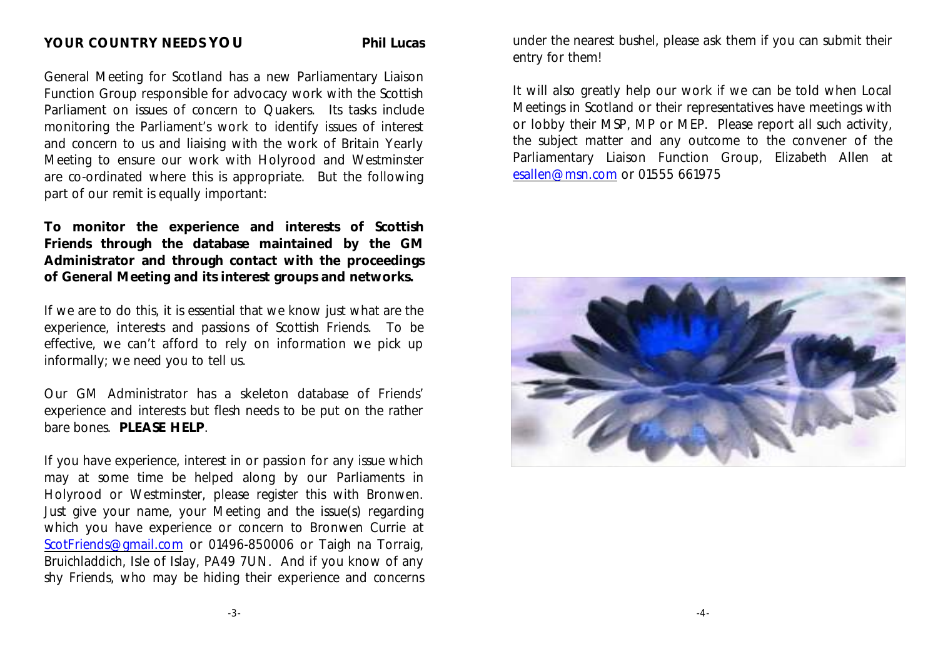General Meeting for Scotland has a new Parliamentary Liaison Function Group responsible for advocacy work with the Scottish Parliament on issues of concern to Quakers. Its tasks include monitoring the Parliament's work to identify issues of interest and concern to us and liaising with the work of Britain Yearly Meeting to ensure our work with Holyrood and Westminster are co-ordinated where this is appropriate. But the following part of our remit is equally important:

**To monitor the experience and interests of Scottish Friends through the database maintained by the GM Administrator and through contact with the proceedings of General Meeting and its interest groups and networks.**

If we are to do this, it is essential that we know just what are the experience, interests and passions of Scottish Friends. To be effective, we can't afford to rely on information we pick up informally; we need you to tell us.

Our GM Administrator has a skeleton database of Friends' experience and interests but flesh needs to be put on the rather bare bones. **PLEASE HELP**.

If you have experience, interest in or passion for any issue which may at some time be helped along by our Parliaments in Holyrood or Westminster, please register this with Bronwen. Just give your name, your Meeting and the issue(s) regarding which you have experience or concern to Bronwen Currie at [ScotFriends@gmail.com](mailto:ScotFriends@gmail.com) or 01496-850006 or Taigh na Torraig, Bruichladdich, Isle of Islay, PA49 7UN. And if you know of any shy Friends, who may be hiding their experience and concerns under the nearest bushel, please ask them if you can submit their entry for them!

It will also greatly help our work if we can be told when Local Meetings in Scotland or their representatives have meetings with or lobby their MSP, MP or MEP. Please report all such activity, the subject matter and any outcome to the convener of the Parliamentary Liaison Function Group, Elizabeth Allen at [esallen@msn.com](mailto:esallen@msn.com) or 01555 661975

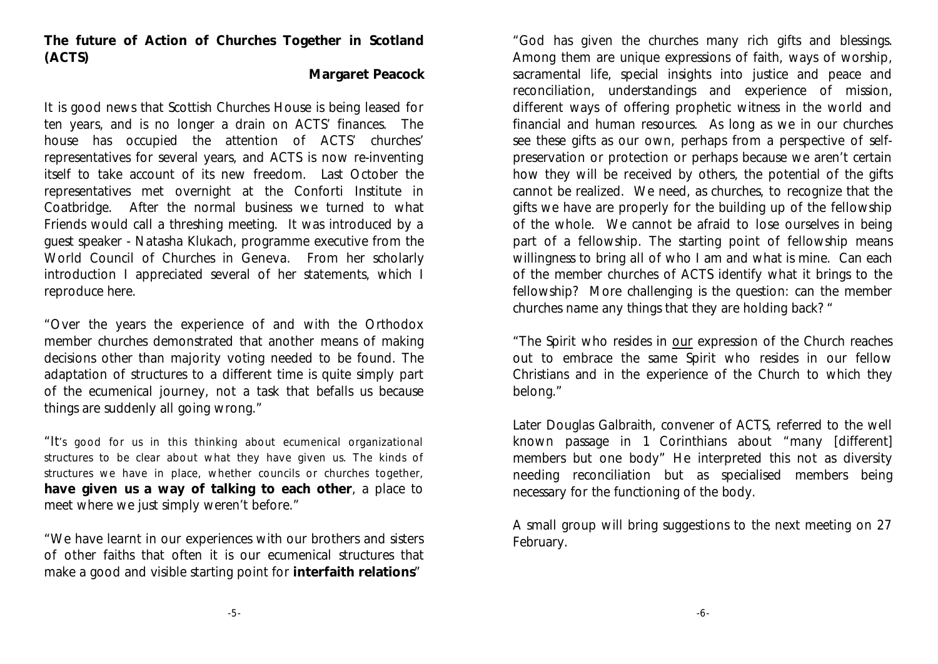**The future of Action of Churches Together in Scotland (ACTS)**

#### **Margaret Peacock**

It is good news that Scottish Churches House is being leased for ten years, and is no longer a drain on ACTS' finances. The house has occupied the attention of ACTS' churches' representatives for several years, and ACTS is now re-inventing itself to take account of its new freedom. Last October the representatives met overnight at the Conforti Institute in Coatbridge. After the normal business we turned to what Friends would call a threshing meeting. It was introduced by a guest speaker - Natasha Klukach, programme executive from the World Council of Churches in Geneva. From her scholarly introduction I appreciated several of her statements, which I reproduce here.

"Over the years the experience of and with the Orthodox member churches demonstrated that another means of making decisions other than majority voting needed to be found. The adaptation of structures to a different time is quite simply part of the ecumenical journey, not a task that befalls us because things are suddenly all going wrong."

"It's good for us in this thinking about ecumenical organizational structures to be clear about what they have given us. The kinds of structures we have in place, whether councils or churches together, **have given us a way of talking to each other**, a place to meet where we just simply weren't before."

"We have learnt in our experiences with our brothers and sisters of other faiths that often it is our ecumenical structures that make a good and visible starting point for **interfaith relations**"

"God has given the churches many rich gifts and blessings. Among them are unique expressions of faith, ways of worship, sacramental life, special insights into justice and peace and reconciliation, understandings and experience of mission, different ways of offering prophetic witness in the world and financial and human resources. As long as we in our churches see these gifts as our own, perhaps from a perspective of selfpreservation or protection or perhaps because we aren't certain how they will be received by others, the potential of the gifts cannot be realized. We need, as churches, to recognize that the gifts we have are properly for the building up of the fellowship of the whole. We cannot be afraid to lose ourselves in being part of a fellowship. The starting point of fellowship means willingness to bring all of who I am and what is mine. Can each of the member churches of ACTS identify what it brings to the fellowship? More challenging is the question: can the member churches name any things that they are holding back? "

"The Spirit who resides in our expression of the Church reaches out to embrace the same Spirit who resides in our fellow Christians and in the experience of the Church to which they belong."

Later Douglas Galbraith, convener of ACTS, referred to the well known passage in 1 Corinthians about "many [different] members but one body" He interpreted this not as diversity needing reconciliation but as specialised members being necessary for the functioning of the body.

A small group will bring suggestions to the next meeting on 27 February.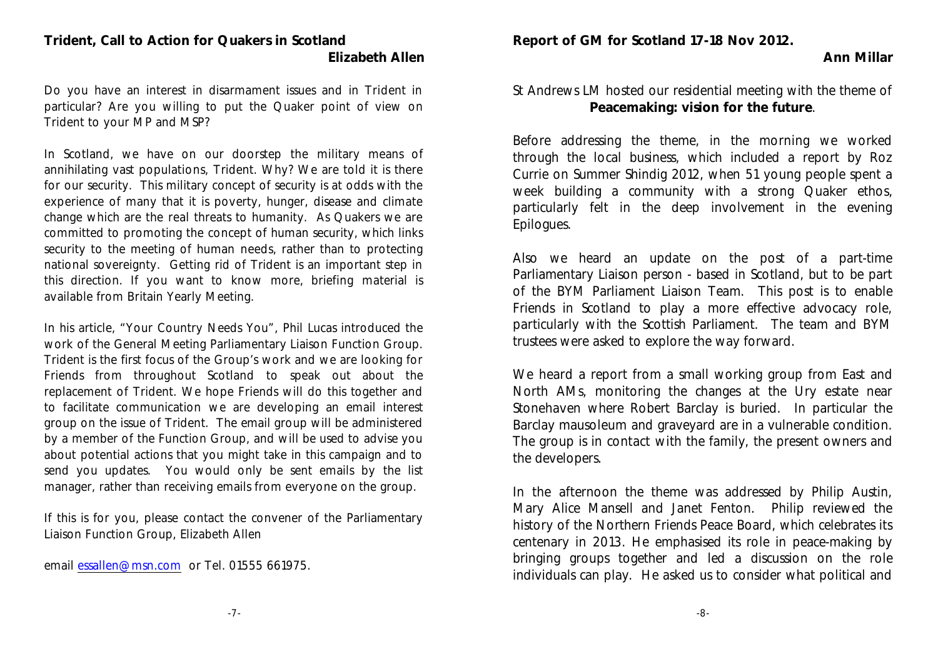**Report of GM for Scotland 17-18 Nov 2012.**

#### **Trident, Call to Action for Quakers in Scotland Elizabeth Allen**

Do you have an interest in disarmament issues and in Trident in particular? Are you willing to put the Quaker point of view on Trident to your MP and MSP?

In Scotland, we have on our doorstep the military means of annihilating vast populations, Trident. Why? We are told it is there for our security. This military concept of security is at odds with the experience of many that it is poverty, hunger, disease and climate change which are the real threats to humanity. As Quakers we are committed to promoting the concept of human security, which links security to the meeting of human needs, rather than to protecting national sovereignty. Getting rid of Trident is an important step in this direction. If you want to know more, briefing material is available from Britain Yearly Meeting.

In his article, "Your Country Needs You", Phil Lucas introduced the work of the General Meeting Parliamentary Liaison Function Group. Trident is the first focus of the Group's work and we are looking for Friends from throughout Scotland to speak out about the replacement of Trident. We hope Friends will do this together and to facilitate communication we are developing an email interest group on the issue of Trident. The email group will be administered by a member of the Function Group, and will be used to advise you about potential actions that you might take in this campaign and to send you updates. You would only be sent emails by the list manager, rather than receiving emails from everyone on the group.

If this is for you, please contact the convener of the Parliamentary Liaison Function Group, Elizabeth Allen

email [essallen@msn.com](mailto:essallen@msn.com) or Tel. 01555 661975.

#### St Andrews LM hosted our residential meeting with the theme of **Peacemaking: vision for the future**.

**Ann Millar**

Before addressing the theme, in the morning we worked through the local business, which included a report by Roz Currie on Summer Shindig 2012, when 51 young people spent a week building a community with a strong Quaker ethos, particularly felt in the deep involvement in the evening Epilogues.

Also we heard an update on the post of a part-time Parliamentary Liaison person - based in Scotland, but to be part of the BYM Parliament Liaison Team. This post is to enable Friends in Scotland to play a more effective advocacy role, particularly with the Scottish Parliament. The team and BYM trustees were asked to explore the way forward.

We heard a report from a small working group from East and North AMs, monitoring the changes at the Ury estate near Stonehaven where Robert Barclay is buried. In particular the Barclay mausoleum and graveyard are in a vulnerable condition. The group is in contact with the family, the present owners and the developers.

In the afternoon the theme was addressed by Philip Austin, Mary Alice Mansell and Janet Fenton. Philip reviewed the history of the Northern Friends Peace Board, which celebrates its centenary in 2013. He emphasised its role in peace-making by bringing groups together and led a discussion on the role individuals can play. He asked us to consider what political and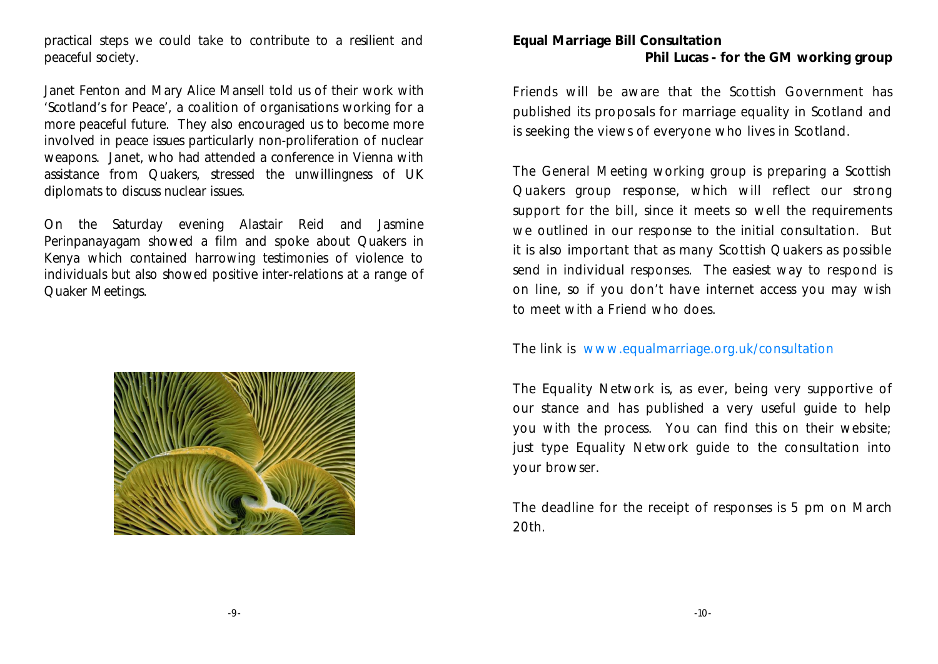practical steps we could take to contribute to a resilient and peaceful society.

Janet Fenton and Mary Alice Mansell told us of their work with 'Scotland's for Peace', a coalition of organisations working for a more peaceful future. They also encouraged us to become more involved in peace issues particularly non-proliferation of nuclear weapons. Janet, who had attended a conference in Vienna with assistance from Quakers, stressed the unwillingness of UK diplomats to discuss nuclear issues.

On the Saturday evening Alastair Reid and Jasmine Perinpanayagam showed a film and spoke about Quakers in Kenya which contained harrowing testimonies of violence to individuals but also showed positive inter-relations at a range of Quaker Meetings.



**Equal Marriage Bill Consultation Phil Lucas - for the GM working group**

Friends will be aware that the Scottish Government has published its proposals for marriage equality in Scotland and is seeking the views of everyone who lives in Scotland.

The General Meeting working group is preparing a Scottish Quakers group response, which will reflect our strong support for the bill, since it meets so well the requirements we outlined in our response to the initial consultation. But it is also important that as many Scottish Quakers as possible send in individual responses. The easiest way to respond is on line, so if you don't have internet access you may wish to meet with a Friend who does.

The link is www.equalmarriage.org.uk/consultation

The Equality Network is, as ever, being very supportive of our stance and has published a very useful guide to help you with the process. You can find this on their website; just type Equality Network guide to the consultation into your browser.

The deadline for the receipt of responses is 5 pm on March 20th.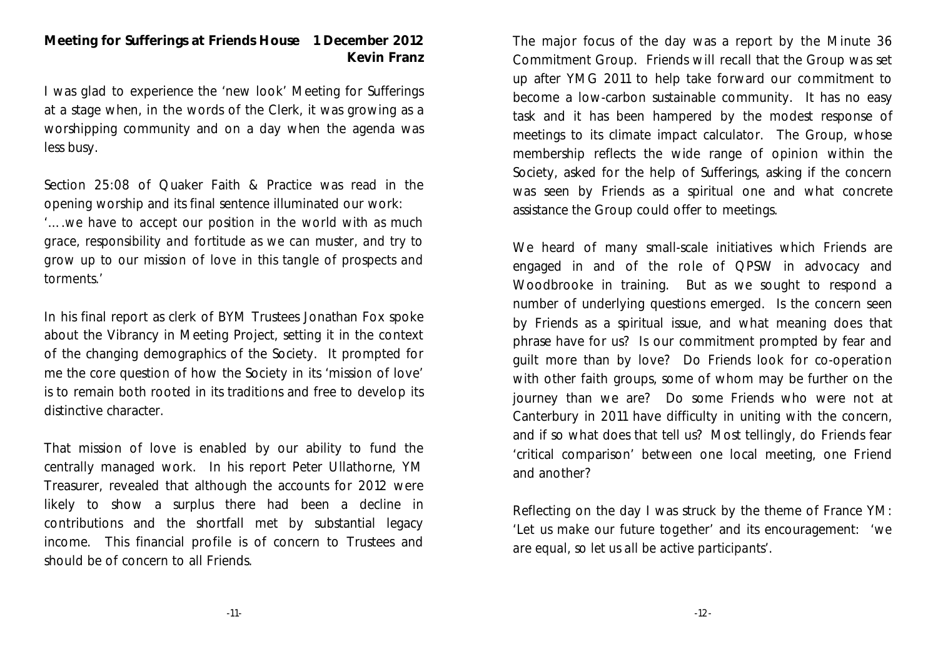#### **Meeting for Sufferings at Friends House 1 December 2012 Kevin Franz**

I was glad to experience the 'new look' Meeting for Sufferings at a stage when, in the words of the Clerk, it was growing as a worshipping community and on a day when the agenda was less busy.

Section 25:08 of Quaker Faith & Practice was read in the opening worship and its final sentence illuminated our work: *'….we have to accept our position in the world with as much grace, responsibility and fortitude as we can muster, and try to grow up to our mission of love in this tangle of prospects and torments.'*

In his final report as clerk of BYM Trustees Jonathan Fox spoke about the Vibrancy in Meeting Project, setting it in the context of the changing demographics of the Society. It prompted for me the core question of how the Society in its 'mission of love' is to remain both rooted in its traditions and free to develop its distinctive character.

That mission of love is enabled by our ability to fund the centrally managed work. In his report Peter Ullathorne, YM Treasurer, revealed that although the accounts for 2012 were likely to show a surplus there had been a decline in contributions and the shortfall met by substantial legacy income. This financial profile is of concern to Trustees and should be of concern to all Friends.

The major focus of the day was a report by the Minute 36 Commitment Group. Friends will recall that the Group was set up after YMG 2011 to help take forward our commitment to become a low-carbon sustainable community. It has no easy task and it has been hampered by the modest response of meetings to its climate impact calculator. The Group, whose membership reflects the wide range of opinion within the Society, asked for the help of Sufferings, asking if the concern was seen by Friends as a spiritual one and what concrete assistance the Group could offer to meetings.

We heard of many small-scale initiatives which Friends are engaged in and of the role of QPSW in advocacy and Woodbrooke in training. But as we sought to respond a number of underlying questions emerged. Is the concern seen by Friends as a spiritual issue, and what meaning does that phrase have for us? Is our commitment prompted by fear and guilt more than by love? Do Friends look for co-operation with other faith groups, some of whom may be further on the journey than we are? Do some Friends who were not at Canterbury in 2011 have difficulty in uniting with the concern, and if so what does that tell us? Most tellingly, do Friends fear 'critical comparison' between one local meeting, one Friend and another?

Reflecting on the day I was struck by the theme of France YM: *'Let us make our future together'* and its encouragement: *'we are equal, so let us all be active participants'*.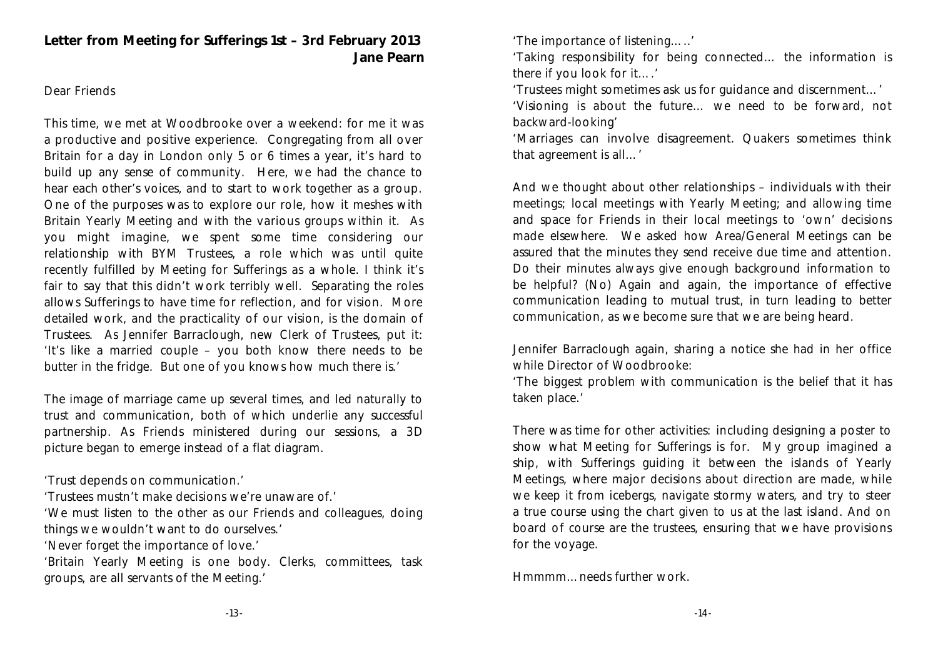**Letter from Meeting for Sufferings 1st – 3rd February 2013 Jane Pearn**

#### Dear Friends

This time, we met at Woodbrooke over a weekend: for me it was a productive and positive experience. Congregating from all over Britain for a day in London only 5 or 6 times a year, it's hard to build up any sense of community. Here, we had the chance to hear each other's voices, and to start to work together as a group. One of the purposes was to explore our role, how it meshes with Britain Yearly Meeting and with the various groups within it. As you might imagine, we spent some time considering our relationship with BYM Trustees, a role which was until quite recently fulfilled by Meeting for Sufferings as a whole. I think it's fair to say that this didn't work terribly well. Separating the roles allows Sufferings to have time for reflection, and for vision. More detailed work, and the practicality of our vision, is the domain of Trustees. As Jennifer Barraclough, new Clerk of Trustees, put it: 'It's like a married couple – you both know there needs to be butter in the fridge. But one of you knows how much there is.'

The image of marriage came up several times, and led naturally to trust and communication, both of which underlie any successful partnership. As Friends ministered during our sessions, a 3D picture began to emerge instead of a flat diagram.

'Trust depends on communication.'

'Trustees mustn't make decisions we're unaware of.'

'We must listen to the other as our Friends and colleagues, doing things we wouldn't want to do ourselves.'

'Never forget the importance of love.'

'Britain Yearly Meeting is one body. Clerks, committees, task groups, are all servants of the Meeting.'

'The importance of listening…..'

'Taking responsibility for being connected… the information is there if you look for it….'

'Trustees might sometimes ask us for guidance and discernment…' 'Visioning is about the future… we need to be forward, not backward-looking'

'Marriages can involve disagreement. Quakers sometimes think that agreement is all…'

And we thought about other relationships – individuals with their meetings; local meetings with Yearly Meeting; and allowing time and space for Friends in their local meetings to 'own' decisions made elsewhere. We asked how Area/General Meetings can be assured that the minutes they send receive due time and attention. Do their minutes always give enough background information to be helpful? (No) Again and again, the importance of effective communication leading to mutual trust, in turn leading to better communication, as we become sure that we are being heard.

Jennifer Barraclough again, sharing a notice she had in her office while Director of Woodbrooke:

'The biggest problem with communication is the belief that it has taken place.'

There was time for other activities: including designing a poster to show what Meeting for Sufferings is for. My group imagined a ship, with Sufferings guiding it between the islands of Yearly Meetings, where major decisions about direction are made, while we keep it from icebergs, navigate stormy waters, and try to steer a true course using the chart given to us at the last island. And on board of course are the trustees, ensuring that we have provisions for the voyage.

Hmmmm…needs further work.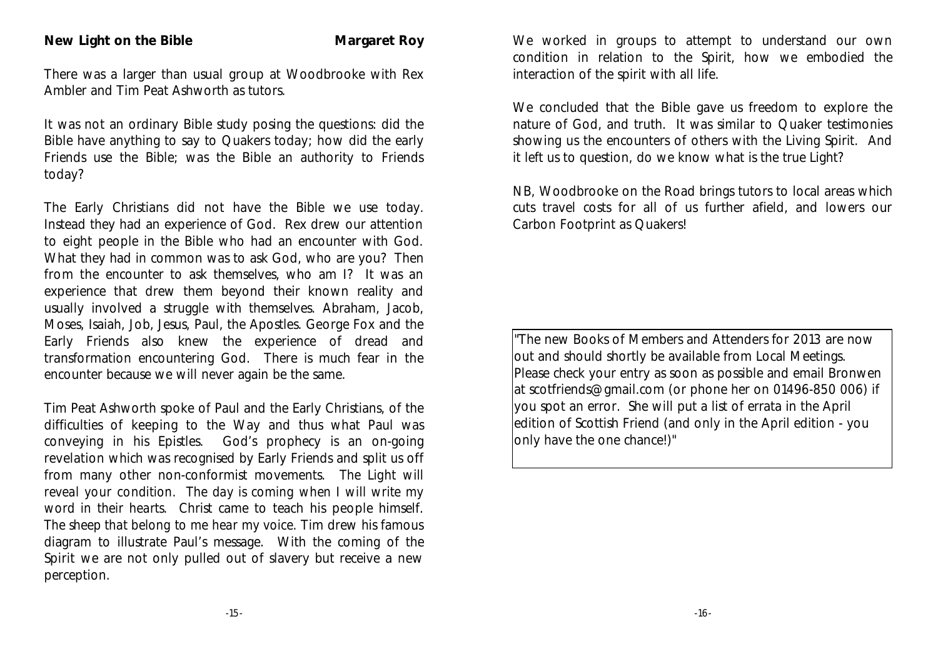#### **New Light on the Bible <b>Margaret Roy**

There was a larger than usual group at Woodbrooke with Rex Ambler and Tim Peat Ashworth as tutors.

It was not an ordinary Bible study posing the questions: did the Bible have anything to say to Quakers today; how did the early Friends use the Bible; was the Bible an authority to Friends today?

The Early Christians did not have the Bible we use today. Instead they had an experience of God. Rex drew our attention to eight people in the Bible who had an encounter with God. What they had in common was to ask God, who are you? Then from the encounter to ask themselves, who am I? It was an experience that drew them beyond their known reality and usually involved a struggle with themselves. Abraham, Jacob, Moses, Isaiah, Job, Jesus, Paul, the Apostles. George Fox and the Early Friends also knew the experience of dread and transformation encountering God. There is much fear in the encounter because we will never again be the same.

Tim Peat Ashworth spoke of Paul and the Early Christians, of the difficulties of keeping to the Way and thus what Paul was conveying in his Epistles. God's prophecy is an on-going revelation which was recognised by Early Friends and split us off from many other non-conformist movements. *The Light will reveal your condition. The day is coming when I will write my word in their hearts.* Christ came to teach his people himself. *The sheep that belong to me hear my voice.* Tim drew his famous diagram to illustrate Paul's message. With the coming of the Spirit we are not only pulled out of slavery but receive a new perception.

We worked in groups to attempt to understand our own condition in relation to the Spirit, how we embodied the interaction of the spirit with all life.

We concluded that the Bible gave us freedom to explore the nature of God, and truth. It was similar to Quaker testimonies showing us the encounters of others with the Living Spirit. And it left us to question, do we know what is the true Light?

NB, Woodbrooke on the Road brings tutors to local areas which cuts travel costs for all of us further afield, and lowers our Carbon Footprint as Quakers!

"The new Books of Members and Attenders for 2013 are now lout and should shortly be available from Local Meetings. Please check your entry as soon as possible and email Bronwen at scotfriends@gmail.com (or phone her on 01496-850 006) if you spot an error. She will put a list of errata in the April edition of Scottish Friend (and only in the April edition - you lonly have the one chance!)"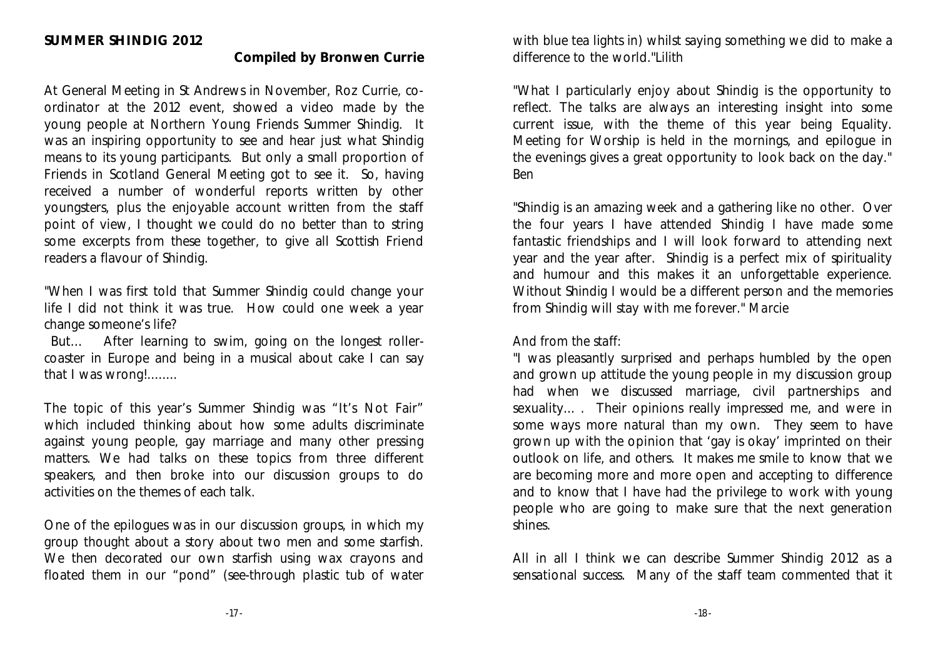#### **Compiled by Bronwen Currie**

At General Meeting in St Andrews in November, Roz Currie, coordinator at the 2012 event, showed a video made by the young people at Northern Young Friends Summer Shindig. It was an inspiring opportunity to see and hear just what Shindig means to its young participants. But only a small proportion of Friends in Scotland General Meeting got to see it. So, having received a number of wonderful reports written by other youngsters, plus the enjoyable account written from the staff point of view, I thought we could do no better than to string some excerpts from these together, to give all Scottish Friend readers a flavour of Shindig.

"When I was first told that Summer Shindig could change your life I did not think it was true. How could one week a year change someone's life?

 But… After learning to swim, going on the longest rollercoaster in Europe and being in a musical about cake I can say that I was wrong!........

The topic of this year's Summer Shindig was "It's Not Fair" which included thinking about how some adults discriminate against young people, gay marriage and many other pressing matters. We had talks on these topics from three different speakers, and then broke into our discussion groups to do activities on the themes of each talk.

One of the epilogues was in our discussion groups, in which my group thought about a story about two men and some starfish. We then decorated our own starfish using wax crayons and floated them in our "pond" (see-through plastic tub of water with blue tea lights in) whilst saying something we did to make a difference to the world."*Lilith*

"What I particularly enjoy about Shindig is the opportunity to reflect. The talks are always an interesting insight into some current issue, with the theme of this year being Equality. Meeting for Worship is held in the mornings, and epilogue in the evenings gives a great opportunity to look back on the day." *Ben*

"Shindig is an amazing week and a gathering like no other. Over the four years I have attended Shindig I have made some fantastic friendships and I will look forward to attending next year and the year after. Shindig is a perfect mix of spirituality and humour and this makes it an unforgettable experience. Without Shindig I would be a different person and the memories from Shindig will stay with me forever." *Marcie* 

#### *And from the staff:*

"I was pleasantly surprised and perhaps humbled by the open and grown up attitude the young people in my discussion group had when we discussed marriage, civil partnerships and sexuality... . Their opinions really impressed me, and were in some ways more natural than my own. They seem to have grown up with the opinion that 'gay is okay' imprinted on their outlook on life, and others. It makes me smile to know that we are becoming more and more open and accepting to difference and to know that I have had the privilege to work with young people who are going to make sure that the next generation shines.

All in all I think we can describe Summer Shindig 2012 as a sensational success. Many of the staff team commented that it